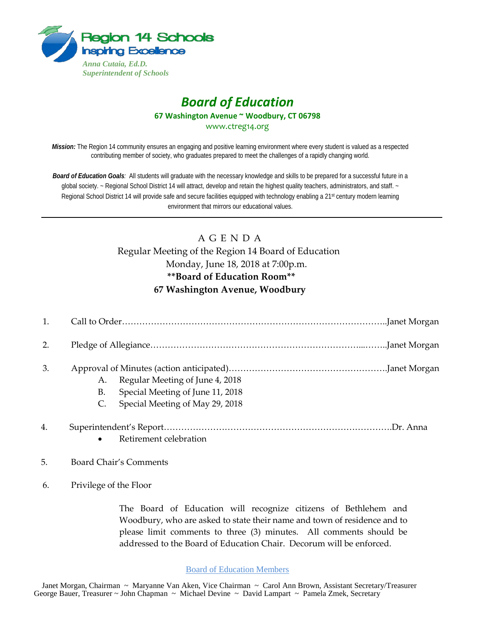

# *Board of Education* **67 Washington Avenue ~ Woodbury, CT 06798** www.ctreg14.org

*Mission:* The Region 14 community ensures an engaging and positive learning environment where every student is valued as a respected contributing member of society, who graduates prepared to meet the challenges of a rapidly changing world.

*Board of Education Goals:* All students will graduate with the necessary knowledge and skills to be prepared for a successful future in a global society. ~ Regional School District 14 will attract, develop and retain the highest quality teachers, administrators, and staff. ~ Regional School District 14 will provide safe and secure facilities equipped with technology enabling a 21<sup>st</sup> century modern learning environment that mirrors our educational values.

# A G E N D A

# Regular Meeting of the Region 14 Board of Education Monday, June 18, 2018 at 7:00p.m. **\*\*Board of Education Room\*\* 67 Washington Avenue, Woodbury**

| 1. |                                     |                                                                                                        |  |
|----|-------------------------------------|--------------------------------------------------------------------------------------------------------|--|
| 2. |                                     |                                                                                                        |  |
| 3. | A.<br>B.                            | Regular Meeting of June 4, 2018<br>Special Meeting of June 11, 2018<br>Special Meeting of May 29, 2018 |  |
| 4. | Retirement celebration<br>$\bullet$ |                                                                                                        |  |

## 5. Board Chair's Comments

6. Privilege of the Floor

The Board of Education will recognize citizens of Bethlehem and Woodbury, who are asked to state their name and town of residence and to please limit comments to three (3) minutes. All comments should be addressed to the Board of Education Chair. Decorum will be enforced.

#### Board of Education Members